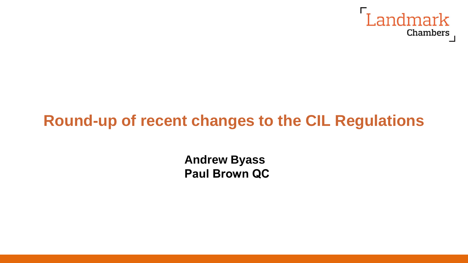

# **Round-up of recent changes to the CIL Regulations**

**Andrew Byass Paul Brown QC**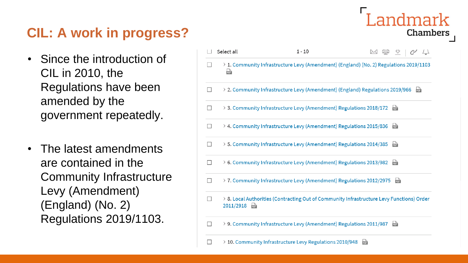# **CIL: A work in progress?**

- Since the introduction of CIL in 2010, the Regulations have been amended by the government repeatedly.
- The latest amendments are contained in the Community Infrastructure Levy (Amendment) (England) (No. 2) Regulations 2019/1103.

|        | Select all              | $1 - 10$                                                                      | 画 立                                                                                       |
|--------|-------------------------|-------------------------------------------------------------------------------|-------------------------------------------------------------------------------------------|
|        | $\frac{b}{205}$         |                                                                               | > 1. Community Infrastructure Levy (Amendment) (England) (No. 2) Regulations 2019/1103    |
|        |                         | > 2. Community Infrastructure Levy (Amendment) (England) Regulations 2019/966 | <b>bur</b>                                                                                |
| $\Box$ |                         | > 3. Community Infrastructure Levy (Amendment) Regulations 2018/172           | <b>RO</b>                                                                                 |
| П      |                         | > 4. Community Infrastructure Levy (Amendment) Regulations 2015/836           | $\frac{1}{105}$                                                                           |
| ۰      |                         | > 5. Community Infrastructure Levy (Amendment) Regulations 2014/385           | $\frac{D}{205}$                                                                           |
|        |                         | > 6. Community Infrastructure Levy (Amendment) Regulations 2013/982           | <b>ROP</b>                                                                                |
|        |                         | > 7. Community Infrastructure Levy (Amendment) Regulations 2012/2975          | $\frac{D}{205}$                                                                           |
|        | 2011/2918<br><b>RDF</b> |                                                                               | > 8. Local Authorities (Contracting Out of Community Infrastructure Levy Functions) Order |
|        |                         | > 9. Community Infrastructure Levy (Amendment) Regulations 2011/987           | <b>ROP</b>                                                                                |
|        |                         | 10. Community Infrastructure Levy Regulations 2010/948                        | 霝                                                                                         |

Landmark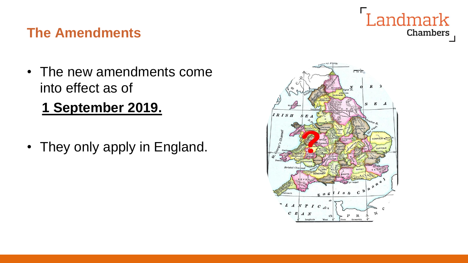# Landmark Chambers

#### **The Amendments**

- The new amendments come into effect as of
	- **1 September 2019.**
- They only apply in England.

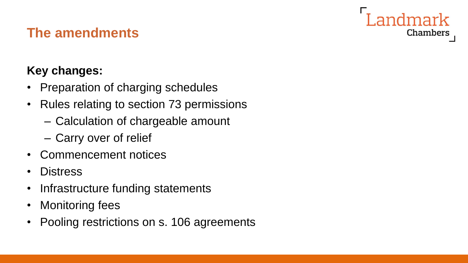# Chambers

#### **The amendments**

#### **Key changes:**

- Preparation of charging schedules
- Rules relating to section 73 permissions
	- Calculation of chargeable amount
	- Carry over of relief
- Commencement notices
- Distress
- Infrastructure funding statements
- Monitoring fees
- Pooling restrictions on s. 106 agreements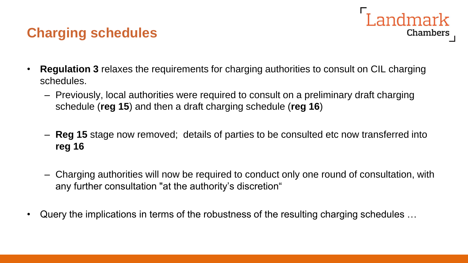## **Charging schedules**

• **Regulation 3** relaxes the requirements for charging authorities to consult on CIL charging schedules.

Landmark

- Previously, local authorities were required to consult on a preliminary draft charging schedule (**reg 15**) and then a draft charging schedule (**reg 16**)
- **Reg 15** stage now removed; details of parties to be consulted etc now transferred into **reg 16**
- Charging authorities will now be required to conduct only one round of consultation, with any further consultation "at the authority's discretion"
- Query the implications in terms of the robustness of the resulting charging schedules …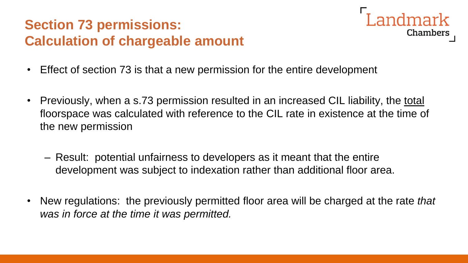# **Section 73 permissions: Calculation of chargeable amount**



- Effect of section 73 is that a new permission for the entire development
- Previously, when a s.73 permission resulted in an increased CIL liability, the total floorspace was calculated with reference to the CIL rate in existence at the time of the new permission
	- Result: potential unfairness to developers as it meant that the entire development was subject to indexation rather than additional floor area.
- New regulations: the previously permitted floor area will be charged at the rate *that was in force at the time it was permitted.*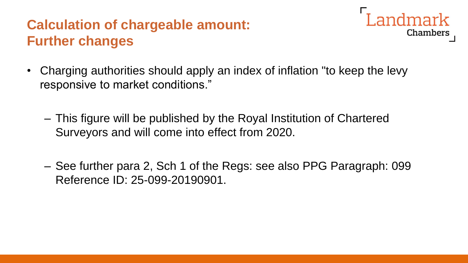# **Calculation of chargeable amount: Further changes**



- Charging authorities should apply an index of inflation "to keep the levy responsive to market conditions."
	- This figure will be published by the Royal Institution of Chartered Surveyors and will come into effect from 2020.
	- See further para 2, Sch 1 of the Regs: see also PPG Paragraph: 099 Reference ID: 25-099-20190901.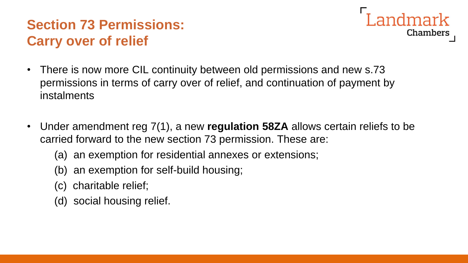# **Section 73 Permissions: Carry over of relief**



- There is now more CIL continuity between old permissions and new s.73 permissions in terms of carry over of relief, and continuation of payment by instalments
- Under amendment reg 7(1), a new **regulation 58ZA** allows certain reliefs to be carried forward to the new section 73 permission. These are:
	- (a) an exemption for residential annexes or extensions;
	- (b) an exemption for self-build housing;
	- (c) charitable relief;
	- (d) social housing relief.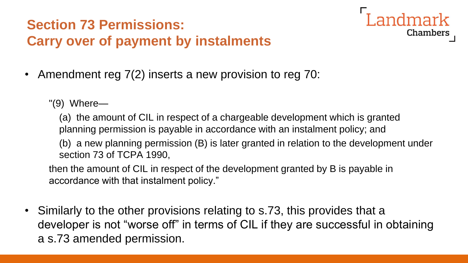# **Section 73 Permissions: Carry over of payment by instalments**



- Amendment reg 7(2) inserts a new provision to reg 70:
	- "(9) Where—

(a) the amount of CIL in respect of a chargeable development which is granted planning permission is payable in accordance with an instalment policy; and (b) a new planning permission (B) is later granted in relation to the development under section 73 of TCPA 1990,

then the amount of CIL in respect of the development granted by B is payable in accordance with that instalment policy."

• Similarly to the other provisions relating to s.73, this provides that a developer is not "worse off" in terms of CIL if they are successful in obtaining a s.73 amended permission.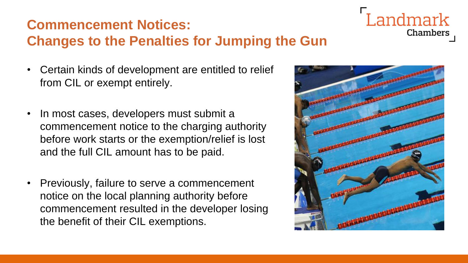# **Commencement Notices: Changes to the Penalties for Jumping the Gun**

Landmark Chambers

- Certain kinds of development are entitled to relief from CIL or exempt entirely.
- In most cases, developers must submit a commencement notice to the charging authority before work starts or the exemption/relief is lost and the full CIL amount has to be paid.
- Previously, failure to serve a commencement notice on the local planning authority before commencement resulted in the developer losing the benefit of their CIL exemptions.

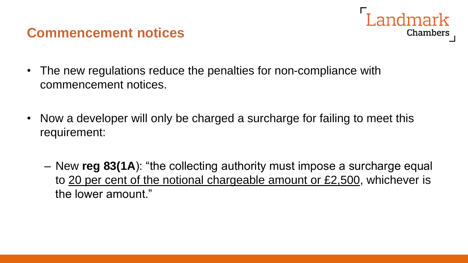#### **Commencement notices**

- The new regulations reduce the penalties for non-compliance with commencement notices.
- Now a developer will only be charged a surcharge for failing to meet this requirement:
	- New **reg 83(1A**): "the collecting authority must impose a surcharge equal to 20 per cent of the notional chargeable amount or £2,500, whichever is the lower amount."

Landmark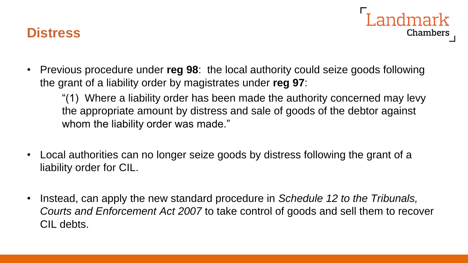



• Previous procedure under **reg 98**: the local authority could seize goods following the grant of a liability order by magistrates under **reg 97**:

"(1) Where a liability order has been made the authority concerned may levy the appropriate amount by distress and sale of goods of the debtor against whom the liability order was made."

- Local authorities can no longer seize goods by distress following the grant of a liability order for CIL.
- Instead, can apply the new standard procedure in *Schedule 12 to the Tribunals, Courts and Enforcement Act 2007* to take control of goods and sell them to recover CIL debts.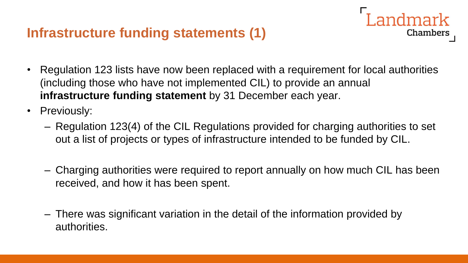## **Infrastructure funding statements (1)**

• Regulation 123 lists have now been replaced with a requirement for local authorities (including those who have not implemented CIL) to provide an annual **infrastructure funding statement** by 31 December each year.

Landmark

- Previously:
	- Regulation 123(4) of the CIL Regulations provided for charging authorities to set out a list of projects or types of infrastructure intended to be funded by CIL.
	- Charging authorities were required to report annually on how much CIL has been received, and how it has been spent.
	- There was significant variation in the detail of the information provided by authorities.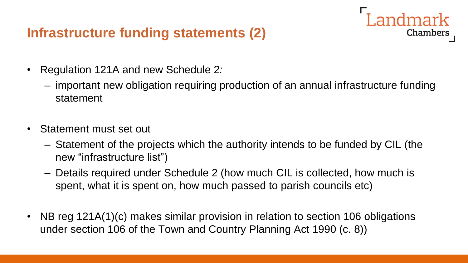## **Infrastructure funding statements (2)**

- Regulation 121A and new Schedule 2*:*
	- important new obligation requiring production of an annual infrastructure funding statement

**Landmark** 

- Statement must set out
	- Statement of the projects which the authority intends to be funded by CIL (the new "infrastructure list")
	- Details required under Schedule 2 (how much CIL is collected, how much is spent, what it is spent on, how much passed to parish councils etc)
- NB reg 121A(1)(c) makes similar provision in relation to section 106 obligations under section 106 of the Town and Country Planning Act 1990 (c. 8))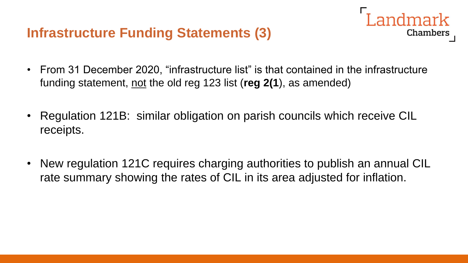#### **Infrastructure Funding Statements (3)**

• From 31 December 2020, "infrastructure list" is that contained in the infrastructure funding statement, not the old reg 123 list (**reg 2(1**), as amended)

Landmark

- Regulation 121B: similar obligation on parish councils which receive CIL receipts.
- New regulation 121C requires charging authorities to publish an annual CIL rate summary showing the rates of CIL in its area adjusted for inflation.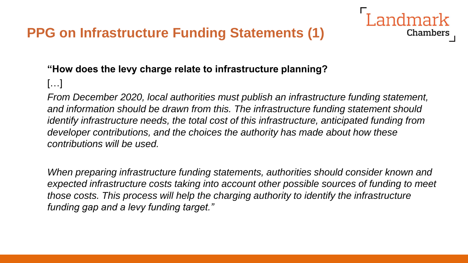# **PPG on Infrastructure Funding Statements (1)**

#### **"How does the levy charge relate to infrastructure planning?**

[…]

*From December 2020, local authorities must publish an infrastructure funding statement, and information should be drawn from this. The infrastructure funding statement should identify infrastructure needs, the total cost of this infrastructure, anticipated funding from developer contributions, and the choices the authority has made about how these contributions will be used.*

**Chambers** 

*When preparing infrastructure funding statements, authorities should consider known and expected infrastructure costs taking into account other possible sources of funding to meet those costs. This process will help the charging authority to identify the infrastructure funding gap and a levy funding target."*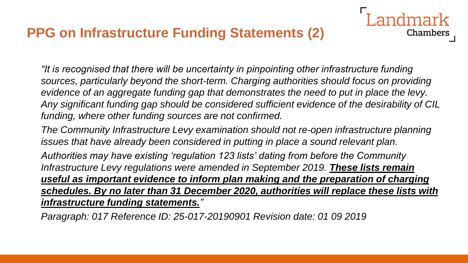## **PPG on Infrastructure Funding Statements (2)**

*"It is recognised that there will be uncertainty in pinpointing other infrastructure funding sources, particularly beyond the short-term. Charging authorities should focus on providing evidence of an aggregate funding gap that demonstrates the need to put in place the levy. Any significant funding gap should be considered sufficient evidence of the desirability of CIL funding, where other funding sources are not confirmed.*

ndmark

Chambers

*The Community Infrastructure Levy examination should not re-open infrastructure planning issues that have already been considered in putting in place a sound relevant plan.*

*Authorities may have existing 'regulation 123 lists' dating from before the Community Infrastructure Levy regulations were amended in September 2019. These lists remain useful as important evidence to inform plan making and the preparation of charging schedules. By no later than 31 December 2020, authorities will replace these lists with infrastructure funding statements."*

*Paragraph: 017 Reference ID: 25-017-20190901 Revision date: 01 09 2019*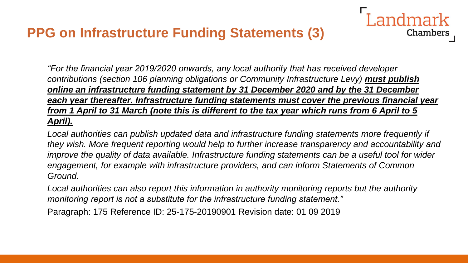#### **PPG on Infrastructure Funding Statements (3)**

*"For the financial year 2019/2020 onwards, any local authority that has received developer contributions (section 106 planning obligations or Community Infrastructure Levy) must publish online an infrastructure funding statement by 31 December 2020 and by the 31 December each year thereafter. Infrastructure funding statements must cover the previous financial year from 1 April to 31 March (note this is different to the tax year which runs from 6 April to 5 April).*

Landmark

**Chambers** 

*Local authorities can publish updated data and infrastructure funding statements more frequently if they wish. More frequent reporting would help to further increase transparency and accountability and improve the quality of data available. Infrastructure funding statements can be a useful tool for wider engagement, for example with infrastructure providers, and can inform Statements of Common Ground.*

*Local authorities can also report this information in authority monitoring reports but the authority monitoring report is not a substitute for the infrastructure funding statement."*

Paragraph: 175 Reference ID: 25-175-20190901 Revision date: 01 09 2019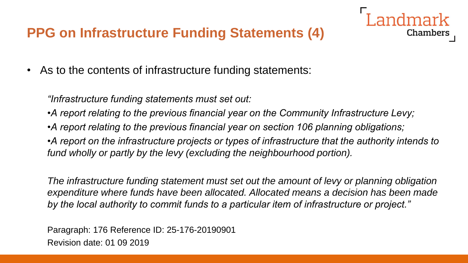# **PPG on Infrastructure Funding Statements (4)**

• As to the contents of infrastructure funding statements:

*"Infrastructure funding statements must set out:*

*•A report relating to the previous financial year on the Community Infrastructure Levy;*

*•A report relating to the previous financial year on section 106 planning obligations;*

*•A report on the infrastructure projects or types of infrastructure that the authority intends to fund wholly or partly by the levy (excluding the neighbourhood portion).*

Chambers

*The infrastructure funding statement must set out the amount of levy or planning obligation expenditure where funds have been allocated. Allocated means a decision has been made by the local authority to commit funds to a particular item of infrastructure or project."*

Paragraph: 176 Reference ID: 25-176-20190901 Revision date: 01 09 2019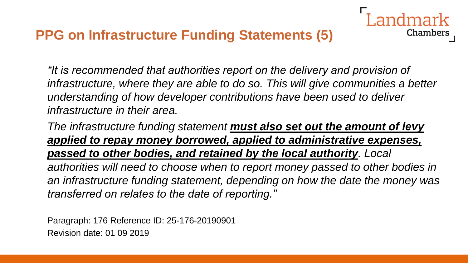*"It is recommended that authorities report on the delivery and provision of infrastructure, where they are able to do so. This will give communities a better understanding of how developer contributions have been used to deliver infrastructure in their area.*

Chambers

*The infrastructure funding statement must also set out the amount of levy applied to repay money borrowed, applied to administrative expenses, passed to other bodies, and retained by the local authority. Local authorities will need to choose when to report money passed to other bodies in an infrastructure funding statement, depending on how the date the money was transferred on relates to the date of reporting."*

Paragraph: 176 Reference ID: 25-176-20190901 Revision date: 01 09 2019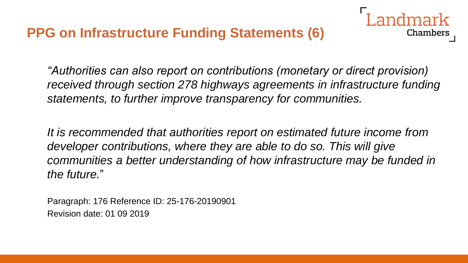## **PPG on Infrastructure Funding Statements (6)**



*"Authorities can also report on contributions (monetary or direct provision) received through section 278 highways agreements in infrastructure funding statements, to further improve transparency for communities.*

*It is recommended that authorities report on estimated future income from developer contributions, where they are able to do so. This will give communities a better understanding of how infrastructure may be funded in the future.*"

Paragraph: 176 Reference ID: 25-176-20190901 Revision date: 01 09 2019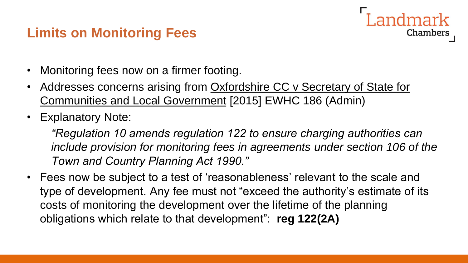#### **Limits on Monitoring Fees**

- Monitoring fees now on a firmer footing.
- Addresses concerns arising from Oxfordshire CC v Secretary of State for Communities and Local Government [2015] EWHC 186 (Admin)
- Explanatory Note:

*"Regulation 10 amends regulation 122 to ensure charging authorities can*  include provision for monitoring fees in agreements under section 106 of the *Town and Country Planning Act 1990."*

Chambers

• Fees now be subject to a test of 'reasonableness' relevant to the scale and type of development. Any fee must not "exceed the authority's estimate of its costs of monitoring the development over the lifetime of the planning obligations which relate to that development": **reg 122(2A)**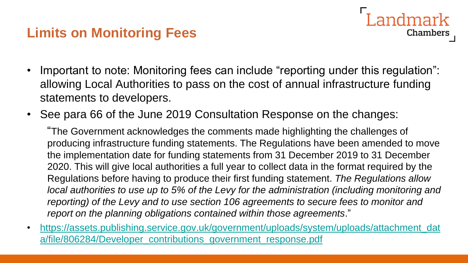## **Limits on Monitoring Fees**

• Important to note: Monitoring fees can include "reporting under this regulation": allowing Local Authorities to pass on the cost of annual infrastructure funding statements to developers.

Landmark

**Chambers** 

• See para 66 of the June 2019 Consultation Response on the changes:

"The Government acknowledges the comments made highlighting the challenges of producing infrastructure funding statements. The Regulations have been amended to move the implementation date for funding statements from 31 December 2019 to 31 December 2020. This will give local authorities a full year to collect data in the format required by the Regulations before having to produce their first funding statement. *The Regulations allow local authorities to use up to 5% of the Levy for the administration (including monitoring and reporting) of the Levy and to use section 106 agreements to secure fees to monitor and report on the planning obligations contained within those agreements*."

• [https://assets.publishing.service.gov.uk/government/uploads/system/uploads/attachment\\_dat](https://assets.publishing.service.gov.uk/government/uploads/system/uploads/attachment_data/file/806284/Developer_contributions_government_response.pdf) a/file/806284/Developer\_contributions\_government\_response.pdf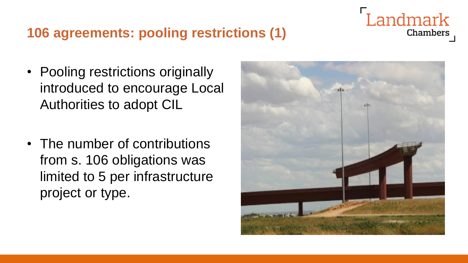#### **106 agreements: pooling restrictions (1)**

- Pooling restrictions originally
- introduced to encourage Local Authorities to adopt CIL
- The number of contributions from s. 106 obligations was limited to 5 per infrastructure project or type.



# Landmark **Chambers**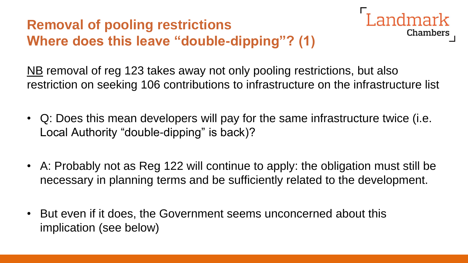# **Removal of pooling restrictions Where does this leave "double-dipping"? (1)**



NB removal of reg 123 takes away not only pooling restrictions, but also restriction on seeking 106 contributions to infrastructure on the infrastructure list

- Q: Does this mean developers will pay for the same infrastructure twice (i.e. Local Authority "double-dipping" is back)?
- A: Probably not as Reg 122 will continue to apply: the obligation must still be necessary in planning terms and be sufficiently related to the development.
- But even if it does, the Government seems unconcerned about this implication (see below)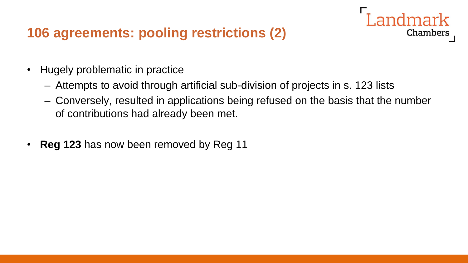#### **106 agreements: pooling restrictions (2)**



- Attempts to avoid through artificial sub-division of projects in s. 123 lists
- Conversely, resulted in applications being refused on the basis that the number of contributions had already been met.

andmark

**Chambers** 

• **Reg 123** has now been removed by Reg 11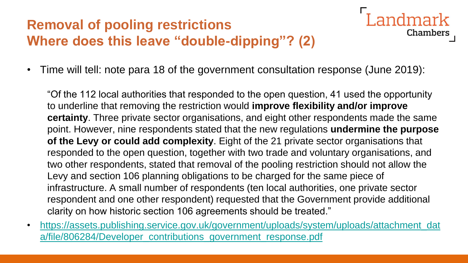# **Removal of pooling restrictions Where does this leave "double-dipping"? (2)**



**Landmark** 

• Time will tell: note para 18 of the government consultation response (June 2019):

"Of the 112 local authorities that responded to the open question, 41 used the opportunity to underline that removing the restriction would **improve flexibility and/or improve certainty**. Three private sector organisations, and eight other respondents made the same point. However, nine respondents stated that the new regulations **undermine the purpose of the Levy or could add complexity**. Eight of the 21 private sector organisations that responded to the open question, together with two trade and voluntary organisations, and two other respondents, stated that removal of the pooling restriction should not allow the Levy and section 106 planning obligations to be charged for the same piece of infrastructure. A small number of respondents (ten local authorities, one private sector respondent and one other respondent) requested that the Government provide additional clarity on how historic section 106 agreements should be treated."

• [https://assets.publishing.service.gov.uk/government/uploads/system/uploads/attachment\\_dat](https://assets.publishing.service.gov.uk/government/uploads/system/uploads/attachment_data/file/806284/Developer_contributions_government_response.pdf) a/file/806284/Developer\_contributions\_government\_response.pdf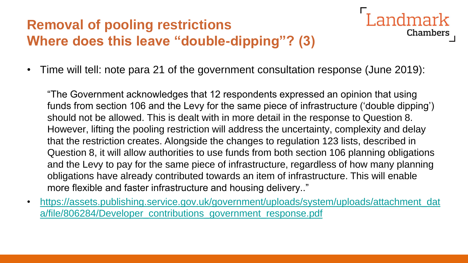# **Removal of pooling restrictions Where does this leave "double-dipping"? (3)**

• Time will tell: note para 21 of the government consultation response (June 2019):

"The Government acknowledges that 12 respondents expressed an opinion that using funds from section 106 and the Levy for the same piece of infrastructure ('double dipping') should not be allowed. This is dealt with in more detail in the response to Question 8. However, lifting the pooling restriction will address the uncertainty, complexity and delay that the restriction creates. Alongside the changes to regulation 123 lists, described in Question 8, it will allow authorities to use funds from both section 106 planning obligations and the Levy to pay for the same piece of infrastructure, regardless of how many planning obligations have already contributed towards an item of infrastructure. This will enable more flexible and faster infrastructure and housing delivery.."

Landmark

Chambers

• [https://assets.publishing.service.gov.uk/government/uploads/system/uploads/attachment\\_dat](https://assets.publishing.service.gov.uk/government/uploads/system/uploads/attachment_data/file/806284/Developer_contributions_government_response.pdf) a/file/806284/Developer\_contributions\_government\_response.pdf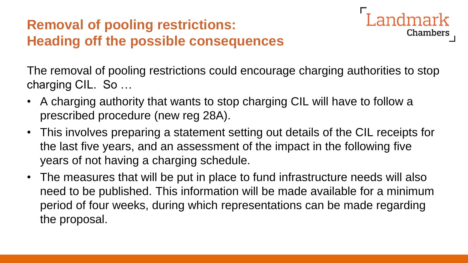# **Removal of pooling restrictions: Heading off the possible consequences**



The removal of pooling restrictions could encourage charging authorities to stop charging CIL. So …

- A charging authority that wants to stop charging CIL will have to follow a prescribed procedure (new reg 28A).
- This involves preparing a statement setting out details of the CIL receipts for the last five years, and an assessment of the impact in the following five years of not having a charging schedule.
- The measures that will be put in place to fund infrastructure needs will also need to be published. This information will be made available for a minimum period of four weeks, during which representations can be made regarding the proposal.